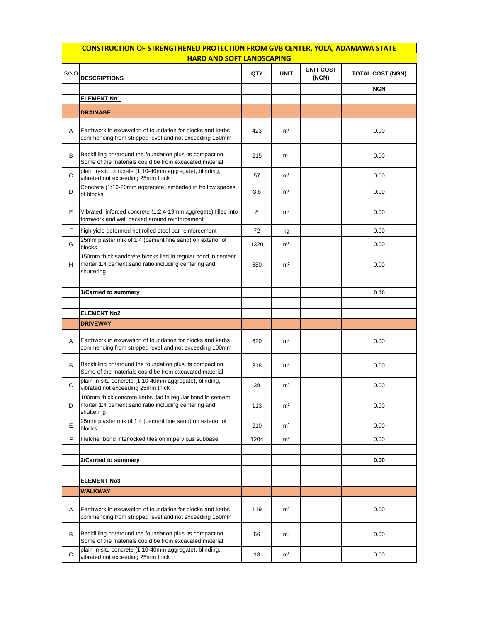| <b>CONSTRUCTION OF STRENGTHENED PROTECTION FROM GVB CENTER, YOLA, ADAMAWA STATE</b> |                                                                                                                                   |      |                |                           |                         |  |
|-------------------------------------------------------------------------------------|-----------------------------------------------------------------------------------------------------------------------------------|------|----------------|---------------------------|-------------------------|--|
| <b>HARD AND SOFT LANDSCAPING</b>                                                    |                                                                                                                                   |      |                |                           |                         |  |
| S/NO                                                                                | <b>DESCRIPTIONS</b>                                                                                                               | QTY  | <b>UNIT</b>    | <b>UNIT COST</b><br>(NGN) | <b>TOTAL COST (NGN)</b> |  |
|                                                                                     |                                                                                                                                   |      |                |                           | <b>NGN</b>              |  |
|                                                                                     | <b>ELEMENT No1</b>                                                                                                                |      |                |                           |                         |  |
|                                                                                     | <b>DRAINAGE</b>                                                                                                                   |      |                |                           |                         |  |
| A                                                                                   | Earthwork in excavation of foundation for blocks and kerbs<br>commencing from stripped level and not exceeding 150mm              | 423  | m <sup>3</sup> |                           | 0.00                    |  |
| В                                                                                   | Backfilling on/around the foundation plus its compaction.<br>Some of the materials could be from excavated material               | 215  | m <sup>3</sup> |                           | 0.00                    |  |
| С                                                                                   | plain in-situ concrete (1:10-40mm aggregate), blinding,<br>vibrated not exceeding 25mm thick                                      | 57   | m <sup>3</sup> |                           | 0.00                    |  |
| D                                                                                   | Concrete (1:10-20mm aggregate) embeded in hollow spaces<br>of blocks                                                              | 3.8  | m <sup>3</sup> |                           | 0.00                    |  |
| Е                                                                                   | Vibrated rinforced concrete (1:2:4-19mm aggregate) filled into<br>formwork and well packed around reinforcement                   | 8    | m <sup>3</sup> |                           | 0.00                    |  |
| F.                                                                                  | high yield deformed hot rolled steel bar reinforcement                                                                            | 72   | kg             |                           | 0.00                    |  |
| G                                                                                   | 25mm plaster mix of 1:4 (cement:fine sand) on exterior of<br>blocks                                                               | 1320 | m <sup>2</sup> |                           | 0.00                    |  |
| н                                                                                   | 150mm thick sandcrete blocks liad in regular bond in cement<br>mortar 1:4 cement:sand ratio including centering and<br>shuttering | 680  | m <sup>2</sup> |                           | 0.00                    |  |
|                                                                                     |                                                                                                                                   |      |                |                           |                         |  |
|                                                                                     | 1/Carried to summary                                                                                                              |      |                |                           | 0.00                    |  |
|                                                                                     |                                                                                                                                   |      |                |                           |                         |  |
|                                                                                     | <b>ELEMENT No2</b>                                                                                                                |      |                |                           |                         |  |
|                                                                                     | <b>DRIVEWAY</b>                                                                                                                   |      |                |                           |                         |  |
| A                                                                                   | Earthwork in excavation of foundation for blocks and kerbs<br>commencing from stripped level and not exceeding 100mm              | 620  | m <sup>3</sup> |                           | 0.00                    |  |
| В                                                                                   | Backfilling on/around the foundation plus its compaction.<br>Some of the materials could be from excavated material               | 318  | m <sup>3</sup> |                           | 0.00                    |  |
| C                                                                                   | plain in-situ concrete (1:10-40mm aggregate), blinding,<br>vibrated not exceeding 25mm thick                                      | 39   | m <sup>3</sup> |                           | 0.00                    |  |
| D                                                                                   | 100mm thick concrete kerbs liad in regular bond in cement<br>mortar 1:4 cement: sand ratio including centering and<br>shuttering  | 113  | m <sup>2</sup> |                           | 0.00                    |  |
| Е                                                                                   | 25mm plaster mix of 1:4 (cement:fine sand) on exterior of<br>blocks                                                               | 210  | m <sup>2</sup> |                           | 0.00                    |  |
| F                                                                                   | Fletcher bond interlocked tiles on impervious subbase                                                                             | 1204 | m <sup>2</sup> |                           | 0.00                    |  |
|                                                                                     | 2/Carried to summary                                                                                                              |      |                |                           | 0.00                    |  |
|                                                                                     |                                                                                                                                   |      |                |                           |                         |  |
|                                                                                     | <b>ELEMENT No3</b>                                                                                                                |      |                |                           |                         |  |
|                                                                                     | <b>WALKWAY</b>                                                                                                                    |      |                |                           |                         |  |
| Α                                                                                   | Earthwork in excavation of foundation for blocks and kerbs<br>commencing from stripped level and not exceeding 150mm              | 119  | m <sup>3</sup> |                           | 0.00                    |  |
| В                                                                                   | Backfilling on/around the foundation plus its compaction.<br>Some of the materials could be from excavated material               | 56   | m <sup>3</sup> |                           | 0.00                    |  |
| С                                                                                   | plain in-situ concrete (1:10-40mm aggregate), blinding,<br>vibrated not exceeding 25mm thick                                      | 18   | m <sup>3</sup> |                           | 0.00                    |  |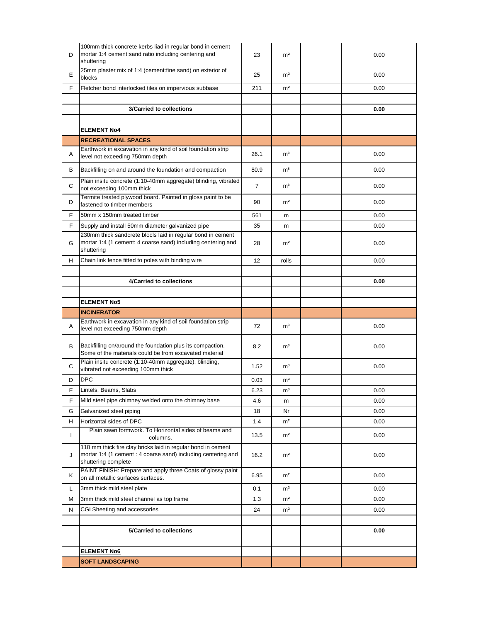| D  | 100mm thick concrete kerbs liad in regular bond in cement<br>mortar 1:4 cement: sand ratio including centering and<br>shuttering                     | 23   | m <sup>2</sup> | 0.00 |
|----|------------------------------------------------------------------------------------------------------------------------------------------------------|------|----------------|------|
| Е  | 25mm plaster mix of 1:4 (cement:fine sand) on exterior of<br>blocks                                                                                  | 25   | m <sup>2</sup> | 0.00 |
| F  | Fletcher bond interlocked tiles on impervious subbase                                                                                                | 211  | m <sup>2</sup> | 0.00 |
|    |                                                                                                                                                      |      |                |      |
|    | 3/Carried to collections                                                                                                                             |      |                | 0.00 |
|    |                                                                                                                                                      |      |                |      |
|    | <b>ELEMENT No4</b>                                                                                                                                   |      |                |      |
|    | <b>RECREATIONAL SPACES</b>                                                                                                                           |      |                |      |
| A  | Earthwork in excavation in any kind of soil foundation strip<br>level not exceeding 750mm depth                                                      | 26.1 | m <sup>3</sup> | 0.00 |
| В  | Backfilling on and around the foundation and compaction                                                                                              | 80.9 | m <sup>3</sup> | 0.00 |
| С  | Plain insitu concrete (1:10-40mm aggregate) blinding, vibrated<br>not exceeding 100mm thick                                                          | 7    | m <sup>3</sup> | 0.00 |
| D  | Termite treated plywood board. Painted in gloss paint to be<br>fastened to timber members                                                            | 90   | m <sup>2</sup> | 0.00 |
| E  | 50mm x 150mm treated timber                                                                                                                          | 561  | m              | 0.00 |
| F. | Supply and install 50mm diameter galvanized pipe                                                                                                     | 35   | m              | 0.00 |
| G  | 230mm thick sandcrete blocls laid in regular bond in cement<br>mortar 1:4 (1 cement: 4 coarse sand) including centering and<br>shuttering            | 28   | m <sup>2</sup> | 0.00 |
| н  | Chain link fence fitted to poles with binding wire                                                                                                   | 12   | rolls          | 0.00 |
|    |                                                                                                                                                      |      |                |      |
|    | 4/Carried to collections                                                                                                                             |      |                | 0.00 |
|    |                                                                                                                                                      |      |                |      |
|    | <b>ELEMENT No5</b>                                                                                                                                   |      |                |      |
|    |                                                                                                                                                      |      |                |      |
|    | <b>INCINERATOR</b>                                                                                                                                   |      |                |      |
| Α  | Earthwork in excavation in any kind of soil foundation strip<br>level not exceeding 750mm depth                                                      | 72   | m <sup>3</sup> | 0.00 |
| В  | Backfilling on/around the foundation plus its compaction.<br>Some of the materials could be from excavated material                                  | 8.2  | m <sup>3</sup> | 0.00 |
| С  | Plain insitu concrete (1:10-40mm aggregate), blinding,<br>vibrated not exceeding 100mm thick                                                         | 1.52 | m <sup>3</sup> | 0.00 |
| D  | <b>DPC</b>                                                                                                                                           | 0.03 | m <sup>3</sup> |      |
| Е  | Lintels, Beams, Slabs                                                                                                                                | 6.23 | m <sup>3</sup> | 0.00 |
| F  | Mild steel pipe chimney welded onto the chimney base                                                                                                 | 4.6  | m              | 0.00 |
| G  | Galvanized steel piping                                                                                                                              | 18   | Nr             | 0.00 |
| H  | Horizontal sides of DPC                                                                                                                              | 1.4  | m <sup>2</sup> | 0.00 |
| L  | Plain sawn formwork. To Horizontal sides of beams and<br>columns.                                                                                    | 13.5 | m <sup>2</sup> | 0.00 |
| J  | 110 mm thick fire clay bricks laid in regular bond in cement<br>mortar 1:4 (1 cement : 4 coarse sand) including centering and<br>shuttering complete | 16.2 | m <sup>2</sup> | 0.00 |
| Κ  | PAINT FINISH: Prepare and apply three Coats of glossy paint<br>on all metallic surfaces surfaces.                                                    | 6.95 | m <sup>2</sup> | 0.00 |
| L  | 3mm thick mild steel plate                                                                                                                           | 0.1  | m <sup>2</sup> | 0.00 |
| Μ  | 3mm thick mild steel channel as top frame                                                                                                            | 1.3  | m <sup>2</sup> | 0.00 |
| N  | CGI Sheeting and accessories                                                                                                                         | 24   | m <sup>2</sup> | 0.00 |
|    |                                                                                                                                                      |      |                |      |
|    | 5/Carried to collections                                                                                                                             |      |                | 0.00 |
|    |                                                                                                                                                      |      |                |      |
|    | <b>ELEMENT No6</b>                                                                                                                                   |      |                |      |